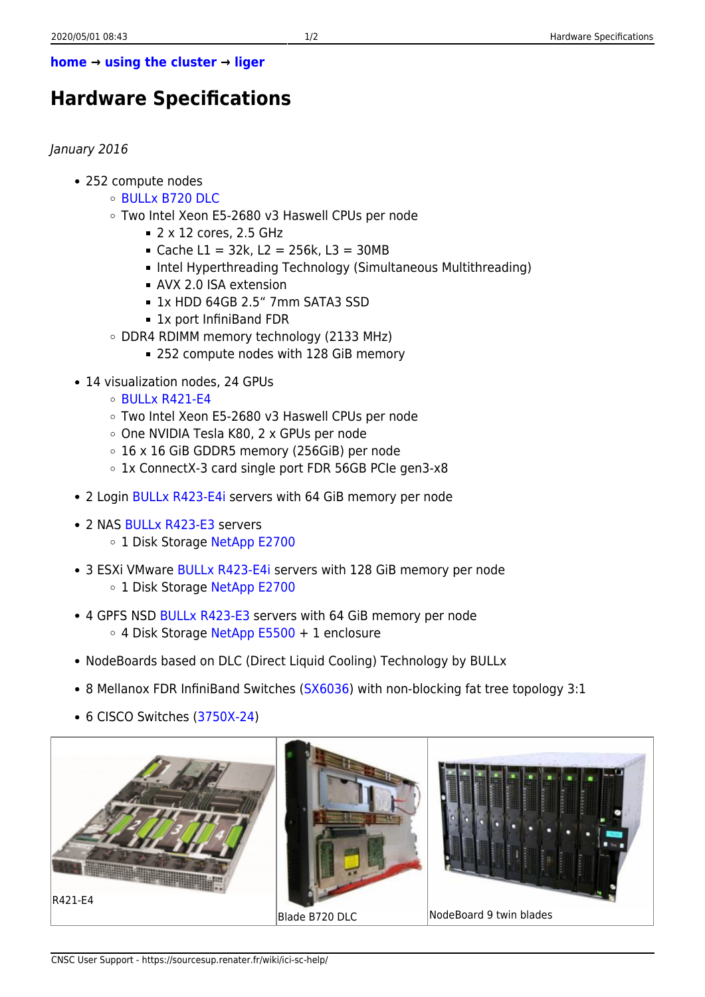## **[home](https://sourcesup.renater.fr/wiki/ici-sc-help/start) → [using the cluster](https://sourcesup.renater.fr/wiki/ici-sc-help/using_the_cluster) → [liger](https://sourcesup.renater.fr/wiki/ici-sc-help/supercomputer:liger)**

## **Hardware Specifications**

## January 2016

- 252 compute nodes
	- [BULLx B720 DLC](http://support.bull.com/ols/product/platforms/hw-extremcomp/bullx_dlc/bullx_b720)
	- Two Intel Xeon E5-2680 v3 Haswell CPUs per node
		- $= 2 \times 12$  cores, 2.5 GHz
		- $\blacksquare$  Cache L1 = 32k, L2 = 256k, L3 = 30MB
		- Intel Hyperthreading Technology (Simultaneous Multithreading)
		- AVX 2.0 ISA extension
		- 1x HDD 64GB 2.5" 7mm SATA3 SSD
		- 1x port InfiniBand FDR
	- DDR4 RDIMM memory technology (2133 MHz)
		- 252 compute nodes with 128 GiB memory
- 14 visualization nodes, 24 GPUs
	- $\circ$  BULLX R421-F4
	- Two Intel Xeon E5-2680 v3 Haswell CPUs per node
	- One NVIDIA Tesla K80, 2 x GPUs per node
	- 16 x 16 GiB GDDR5 memory (256GiB) per node
	- 1x ConnectX-3 card single port FDR 56GB PCIe gen3-x8
- 2 Login [BULLx R423-E4i](http://support.bull.com/ols/product/platforms/hw-extremcomp/bullx-R/rxxx-e4/r423_e04I) servers with 64 GiB memory per node
- 2 NAS [BULLx R423-E3](http://support.bull.com/ols/product/platforms/hw-extremcomp/bullx-R/rxxx-e3/r423_e03/index.htm) servers
	- o 1 Disk Storage [NetApp E2700](http://www.netapp.com/us/products/storage-systems/e2700/)
- 3 ESXi VMware [BULLx R423-E4i](http://support.bull.com/ols/product/platforms/hw-extremcomp/bullx-R/rxxx-e4/r423_e04I) servers with 128 GiB memory per node ○ 1 Disk Storage [NetApp E2700](http://www.netapp.com/us/products/storage-systems/e2700/)
- 4 GPFS NSD [BULLx R423-E3](http://support.bull.com/ols/product/platforms/hw-extremcomp/bullx-R/rxxx-e3/r423_e03/index.htm) servers with 64 GiB memory per node  $\circ$  4 Disk Storage [NetApp E5500](http://www.netapp.com/us/products/storage-systems/e5500/) + 1 enclosure
- NodeBoards based on DLC (Direct Liquid Cooling) Technology by BULLx
- 8 Mellanox FDR InfiniBand Switches ([SX6036](http://www.mellanox.com/page/products_dyn?product_family=132&mtag=sx6025_sx6036)) with non-blocking fat tree topology 3:1
- 6 CISCO Switches ([3750X-24\)](http://www.cisco.com/c/en/us/products/switches/catalyst-3750-x-series-switches/index.html)